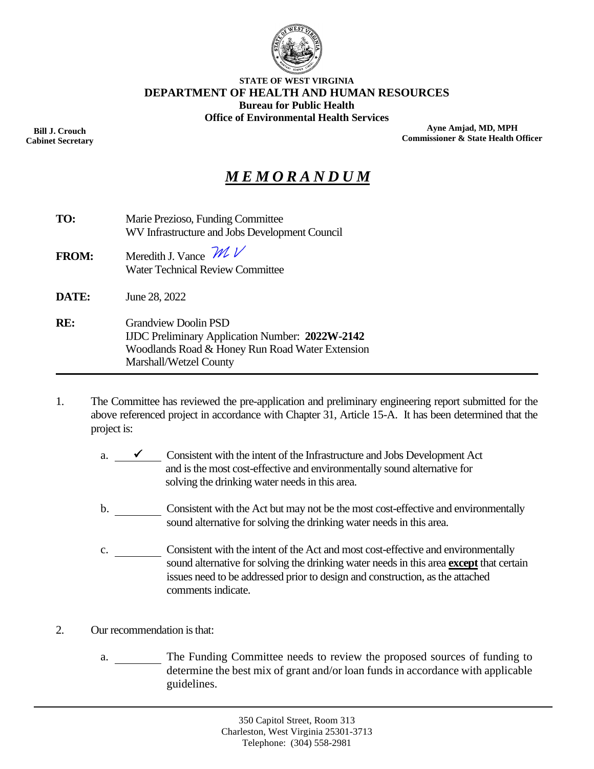

#### **STATE OF WEST VIRGINIA DEPARTMENT OF HEALTH AND HUMAN RESOURCES Bureau for Public Health Office of Environmental Health Services**

**Bill J. Crouch Cabinet Secretary**

**Ayne Amjad, MD, MPH Commissioner & State Health Officer**

# *M E M O R A N D U M*

| TO:          | Marie Prezioso, Funding Committee<br>WV Infrastructure and Jobs Development Council                                                                                |
|--------------|--------------------------------------------------------------------------------------------------------------------------------------------------------------------|
| <b>FROM:</b> | Meredith J. Vance $\mathcal{W}$<br><b>Water Technical Review Committee</b>                                                                                         |
| DATE:        | June 28, 2022                                                                                                                                                      |
| RE:          | <b>Grandview Doolin PSD</b><br><b>IJDC</b> Preliminary Application Number: 2022W-2142<br>Woodlands Road & Honey Run Road Water Extension<br>Marshall/Wetzel County |

- 1. The Committee has reviewed the pre-application and preliminary engineering report submitted for the above referenced project in accordance with Chapter 31, Article 15-A. It has been determined that the project is:
	- a.  $\checkmark$  Consistent with the intent of the Infrastructure and Jobs Development Act and is the most cost-effective and environmentally sound alternative for solving the drinking water needs in this area.
	- b. Consistent with the Act but may not be the most cost-effective and environmentally sound alternative for solving the drinking water needs in this area.
	- c. Consistent with the intent of the Act and most cost-effective and environmentally sound alternative for solving the drinking water needs in this area **except** that certain issues need to be addressed prior to design and construction, as the attached comments indicate.
- 2. Our recommendation is that:
	- a. The Funding Committee needs to review the proposed sources of funding to determine the best mix of grant and/or loan funds in accordance with applicable guidelines.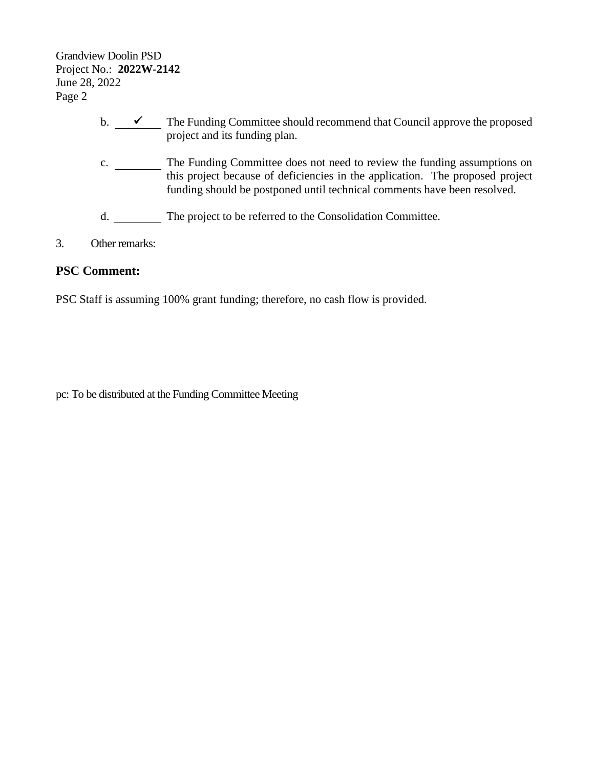Grandview Doolin PSD Project No.: **2022W-2142** June 28, 2022 Page 2

- b.  $\checkmark$  The Funding Committee should recommend that Council approve the proposed project and its funding plan.
- c. \_\_\_\_\_\_\_\_ The Funding Committee does not need to review the funding assumptions on this project because of deficiencies in the application. The proposed project funding should be postponed until technical comments have been resolved.
- d. The project to be referred to the Consolidation Committee.
- 3. Other remarks:

#### **PSC Comment:**

PSC Staff is assuming 100% grant funding; therefore, no cash flow is provided.

pc: To be distributed at the Funding Committee Meeting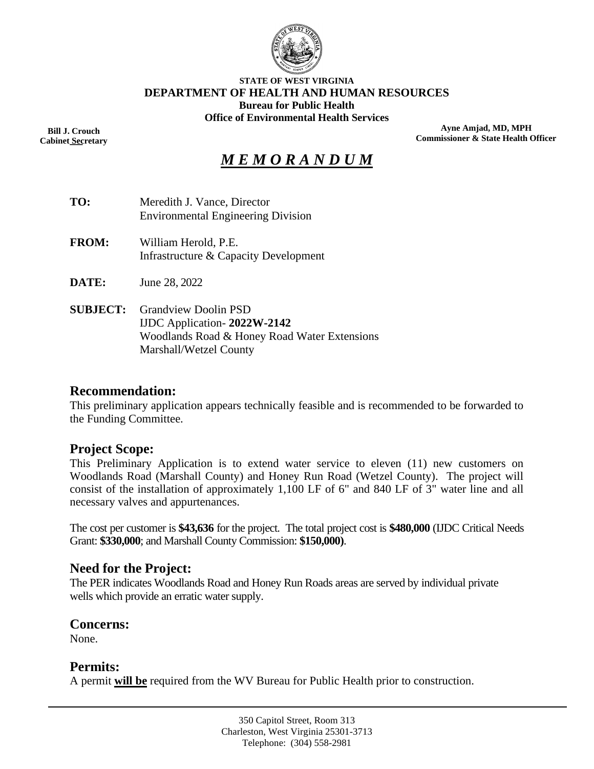

#### **STATE OF WEST VIRGINIA DEPARTMENT OF HEALTH AND HUMAN RESOURCES Bureau for Public Health Office of Environmental Health Services**

**Bill J. Crouch Cabinet Secretary** ––

**Ayne Amjad, MD, MPH Commissioner & State Health Officer**

# *M E M O R A N D U M*

| TO:             | Meredith J. Vance, Director<br><b>Environmental Engineering Division</b>                                                                   |
|-----------------|--------------------------------------------------------------------------------------------------------------------------------------------|
| <b>FROM:</b>    | William Herold, P.E.<br>Infrastructure & Capacity Development                                                                              |
| <b>DATE:</b>    | June 28, 2022                                                                                                                              |
| <b>SUBJECT:</b> | <b>Grandview Doolin PSD</b><br>IJDC Application - $2022W - 2142$<br>Woodlands Road & Honey Road Water Extensions<br>Marshall/Wetzel County |

#### **Recommendation:**

This preliminary application appears technically feasible and is recommended to be forwarded to the Funding Committee.

#### **Project Scope:**

This Preliminary Application is to extend water service to eleven (11) new customers on Woodlands Road (Marshall County) and Honey Run Road (Wetzel County). The project will consist of the installation of approximately 1,100 LF of 6" and 840 LF of 3" water line and all necessary valves and appurtenances.

The cost per customer is **\$43,636** for the project. The total project cost is **\$480,000** (IJDC Critical Needs Grant: **\$330,000**; and Marshall County Commission: **\$150,000)**.

#### **Need for the Project:**

The PER indicates Woodlands Road and Honey Run Roads areas are served by individual private wells which provide an erratic water supply.

#### **Concerns:**

None.

#### **Permits:**

A permit **will be** required from the WV Bureau for Public Health prior to construction.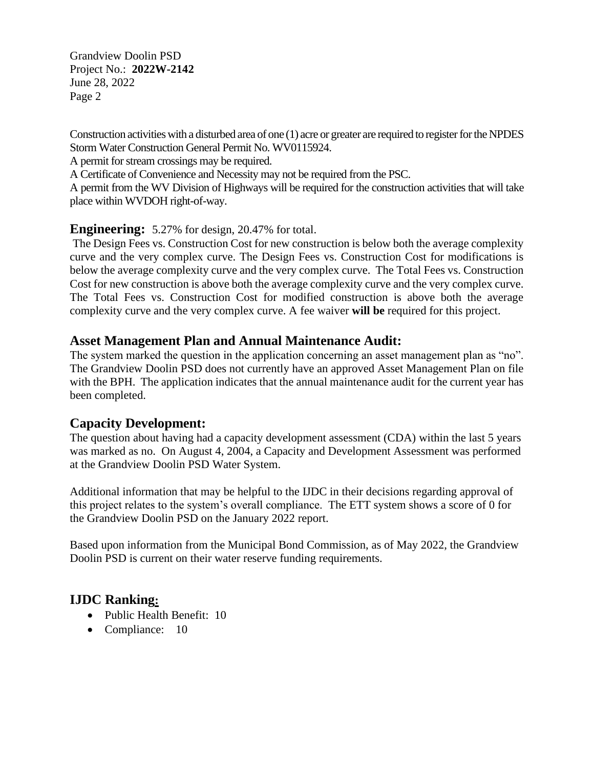Grandview Doolin PSD Project No.: **2022W-2142** June 28, 2022 Page 2

Construction activities with a disturbed area of one (1) acre or greater are required to register for the NPDES Storm Water Construction General Permit No. WV0115924.

A permit for stream crossings may be required.

A Certificate of Convenience and Necessity may not be required from the PSC.

A permit from the WV Division of Highways will be required for the construction activities that will take place within WVDOH right-of-way.

#### **Engineering:** 5.27% for design, 20.47% for total.

The Design Fees vs. Construction Cost for new construction is below both the average complexity curve and the very complex curve. The Design Fees vs. Construction Cost for modifications is below the average complexity curve and the very complex curve. The Total Fees vs. Construction Cost for new construction is above both the average complexity curve and the very complex curve. The Total Fees vs. Construction Cost for modified construction is above both the average complexity curve and the very complex curve. A fee waiver **will be** required for this project.

### **Asset Management Plan and Annual Maintenance Audit:**

The system marked the question in the application concerning an asset management plan as "no". The Grandview Doolin PSD does not currently have an approved Asset Management Plan on file with the BPH. The application indicates that the annual maintenance audit for the current year has been completed.

#### **Capacity Development:**

The question about having had a capacity development assessment (CDA) within the last 5 years was marked as no. On August 4, 2004, a Capacity and Development Assessment was performed at the Grandview Doolin PSD Water System.

Additional information that may be helpful to the IJDC in their decisions regarding approval of this project relates to the system's overall compliance. The ETT system shows a score of 0 for the Grandview Doolin PSD on the January 2022 report.

Based upon information from the Municipal Bond Commission, as of May 2022, the Grandview Doolin PSD is current on their water reserve funding requirements.

## **IJDC Ranking:**

- Public Health Benefit: 10
- Compliance: 10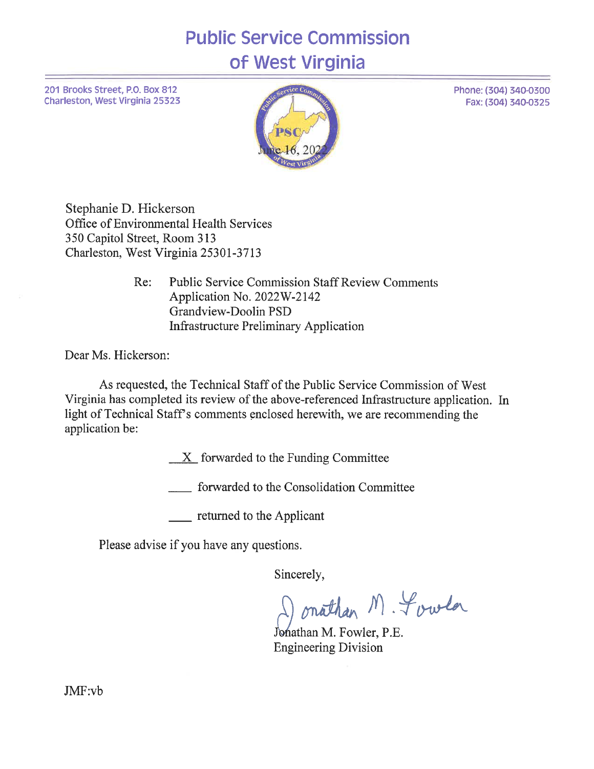# **Public Service Commission** of West Virginia

201 Brooks Street, P.O. Box 812 Charleston, West Virginia 25323



Phone: (304) 340-0300

Fax: (304) 340-0325

Stephanie D. Hickerson Office of Environmental Health Services 350 Capitol Street, Room 313 Charleston, West Virginia 25301-3713

> Re: **Public Service Commission Staff Review Comments** Application No. 2022W-2142 Grandview-Doolin PSD **Infrastructure Preliminary Application**

Dear Ms. Hickerson:

As requested, the Technical Staff of the Public Service Commission of West Virginia has completed its review of the above-referenced Infrastructure application. In light of Technical Staff's comments enclosed herewith, we are recommending the application be:

 $X$  forwarded to the Funding Committee

forwarded to the Consolidation Committee

<u>equal</u> returned to the Applicant

Please advise if you have any questions.

Sincerely,

onathan M. Fowla

Johathan M. Fowler, P.E. **Engineering Division** 

JMF:vb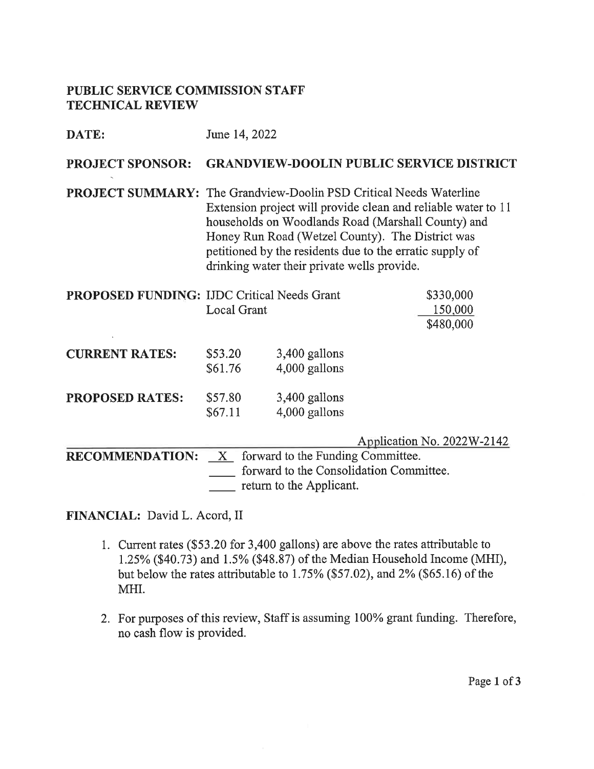#### PUBLIC SERVICE COMMISSION STAFF **TECHNICAL REVIEW**

| DATE:                   | June 14, 2022                                                                                                                                                                                                                                                                                                                                                   |                                                               |                                                                       |  |  |  |  |
|-------------------------|-----------------------------------------------------------------------------------------------------------------------------------------------------------------------------------------------------------------------------------------------------------------------------------------------------------------------------------------------------------------|---------------------------------------------------------------|-----------------------------------------------------------------------|--|--|--|--|
| <b>PROJECT SPONSOR:</b> | <b>GRANDVIEW-DOOLIN PUBLIC SERVICE DISTRICT</b>                                                                                                                                                                                                                                                                                                                 |                                                               |                                                                       |  |  |  |  |
|                         | <b>PROJECT SUMMARY:</b> The Grandview-Doolin PSD Critical Needs Waterline<br>Extension project will provide clean and reliable water to 11<br>households on Woodlands Road (Marshall County) and<br>Honey Run Road (Wetzel County). The District was<br>petitioned by the residents due to the erratic supply of<br>drinking water their private wells provide. |                                                               |                                                                       |  |  |  |  |
|                         | PROPOSED FUNDING: IJDC Critical Needs Grant<br><b>Local Grant</b>                                                                                                                                                                                                                                                                                               |                                                               | \$330,000<br>150,000<br>\$480,000                                     |  |  |  |  |
| <b>CURRENT RATES:</b>   | \$53.20<br>\$61.76                                                                                                                                                                                                                                                                                                                                              | 3,400 gallons<br>4,000 gallons                                |                                                                       |  |  |  |  |
| <b>PROPOSED RATES:</b>  | \$57.80<br>\$67.11                                                                                                                                                                                                                                                                                                                                              | 3,400 gallons<br>4,000 gallons                                |                                                                       |  |  |  |  |
| <b>RECOMMENDATION:</b>  | $X -$                                                                                                                                                                                                                                                                                                                                                           | forward to the Funding Committee.<br>return to the Applicant. | Application No. 2022W-2142<br>forward to the Consolidation Committee. |  |  |  |  |

#### FINANCIAL: David L. Acord, II

- 1. Current rates (\$53.20 for 3,400 gallons) are above the rates attributable to 1.25% (\$40.73) and 1.5% (\$48.87) of the Median Household Income (MHI), but below the rates attributable to 1.75% (\$57.02), and 2% (\$65.16) of the MHI.
- 2. For purposes of this review, Staff is assuming 100% grant funding. Therefore, no cash flow is provided.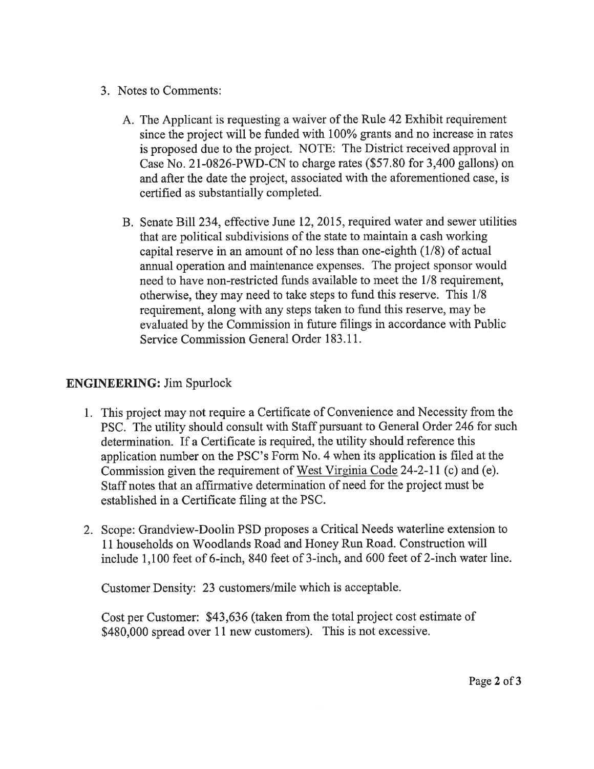- 3. Notes to Comments:
	- A. The Applicant is requesting a waiver of the Rule 42 Exhibit requirement since the project will be funded with 100% grants and no increase in rates is proposed due to the project. NOTE: The District received approval in Case No. 21-0826-PWD-CN to charge rates  $(\$57.80$  for 3,400 gallons) on and after the date the project, associated with the aforementioned case, is certified as substantially completed.
	- B. Senate Bill 234, effective June 12, 2015, required water and sewer utilities that are political subdivisions of the state to maintain a cash working capital reserve in an amount of no less than one-eighth  $(1/8)$  of actual annual operation and maintenance expenses. The project sponsor would need to have non-restricted funds available to meet the 1/8 requirement, otherwise, they may need to take steps to fund this reserve. This 1/8 requirement, along with any steps taken to fund this reserve, may be evaluated by the Commission in future filings in accordance with Public Service Commission General Order 183.11.

## **ENGINEERING:** Jim Spurlock

- 1. This project may not require a Certificate of Convenience and Necessity from the PSC. The utility should consult with Staff pursuant to General Order 246 for such determination. If a Certificate is required, the utility should reference this application number on the PSC's Form No. 4 when its application is filed at the Commission given the requirement of West Virginia Code 24-2-11 (c) and (e). Staff notes that an affirmative determination of need for the project must be established in a Certificate filing at the PSC.
- 2. Scope: Grandview-Doolin PSD proposes a Critical Needs waterline extension to 11 households on Woodlands Road and Honey Run Road. Construction will include 1,100 feet of 6-inch, 840 feet of 3-inch, and 600 feet of 2-inch water line.

Customer Density: 23 customers/mile which is acceptable.

Cost per Customer: \$43,636 (taken from the total project cost estimate of \$480,000 spread over 11 new customers). This is not excessive.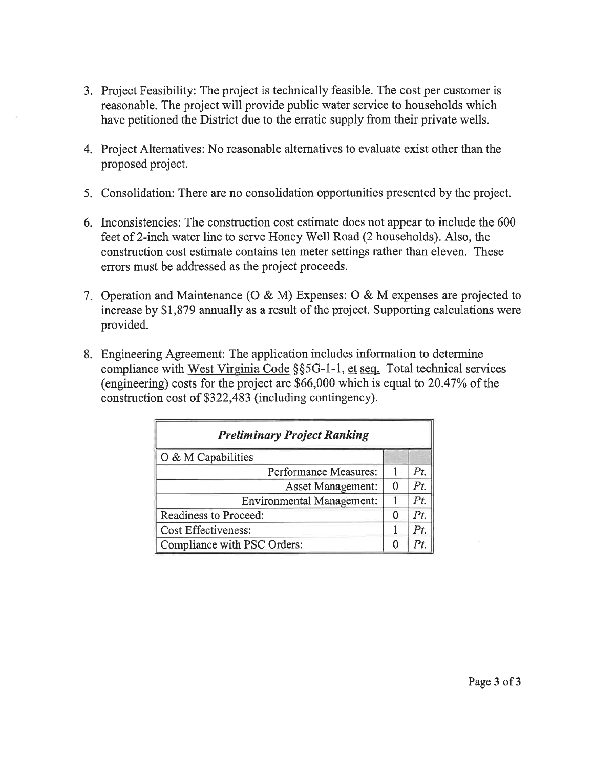- 3. Project Feasibility: The project is technically feasible. The cost per customer is reasonable. The project will provide public water service to households which have petitioned the District due to the erratic supply from their private wells.
- 4. Project Alternatives: No reasonable alternatives to evaluate exist other than the proposed project.
- 5. Consolidation: There are no consolidation opportunities presented by the project.
- 6. Inconsistencies: The construction cost estimate does not appear to include the 600 feet of 2-inch water line to serve Honey Well Road (2 households). Also, the construction cost estimate contains ten meter settings rather than eleven. These errors must be addressed as the project proceeds.
- 7. Operation and Maintenance (O & M) Expenses: O & M expenses are projected to increase by \$1,879 annually as a result of the project. Supporting calculations were provided.
- 8. Engineering Agreement: The application includes information to determine compliance with West Virginia Code § § 5G-1-1, et seq. Total technical services (engineering) costs for the project are \$66,000 which is equal to 20.47% of the construction cost of \$322,483 (including contingency).

| <b>Preliminary Project Ranking</b> |  |     |  |  |
|------------------------------------|--|-----|--|--|
| O & M Capabilities                 |  |     |  |  |
| Performance Measures:              |  | Pt  |  |  |
| Asset Management:                  |  | Pt. |  |  |
| <b>Environmental Management:</b>   |  | Pt. |  |  |
| Readiness to Proceed:              |  | Pt. |  |  |
| <b>Cost Effectiveness:</b>         |  | Pt  |  |  |
| Compliance with PSC Orders:        |  |     |  |  |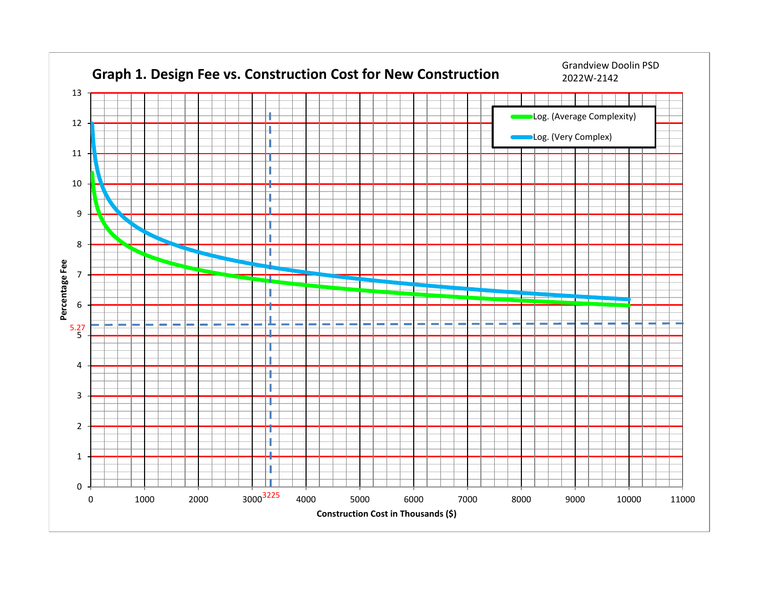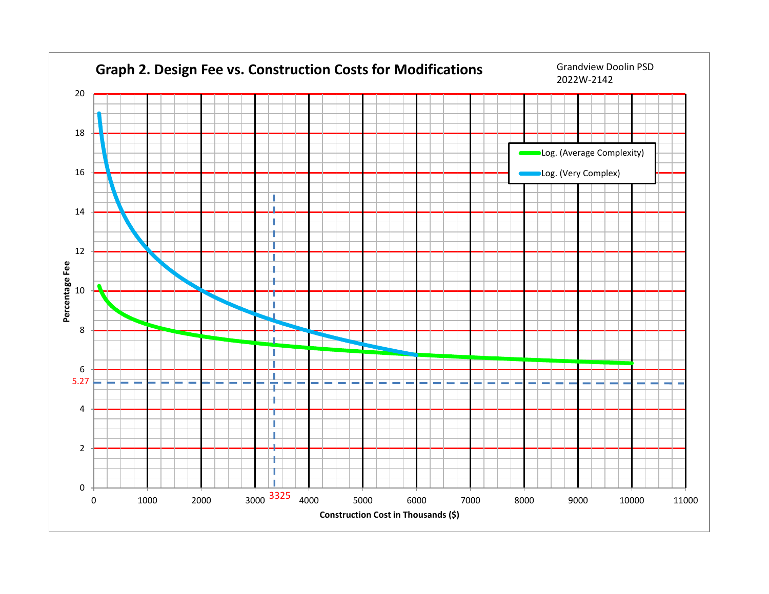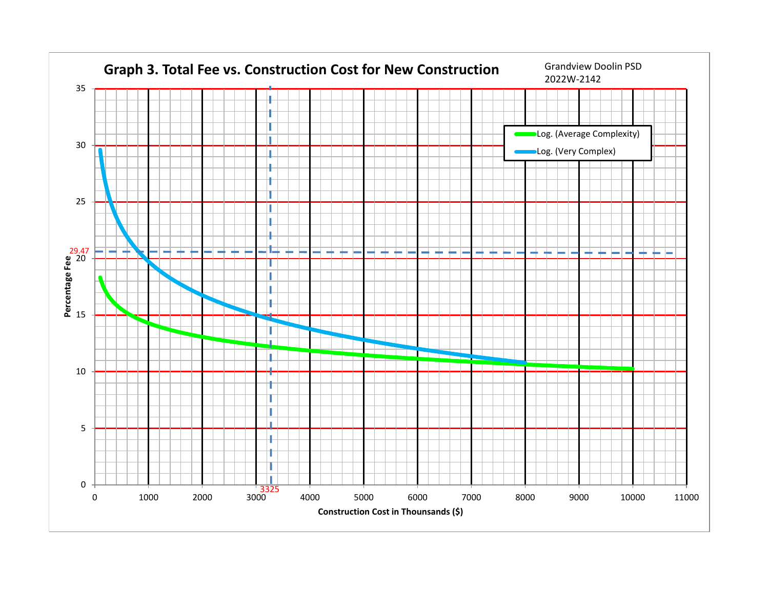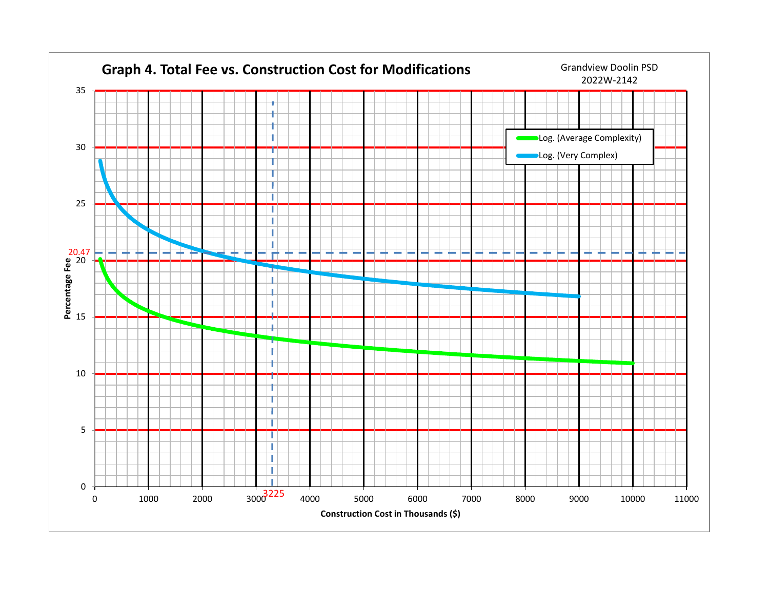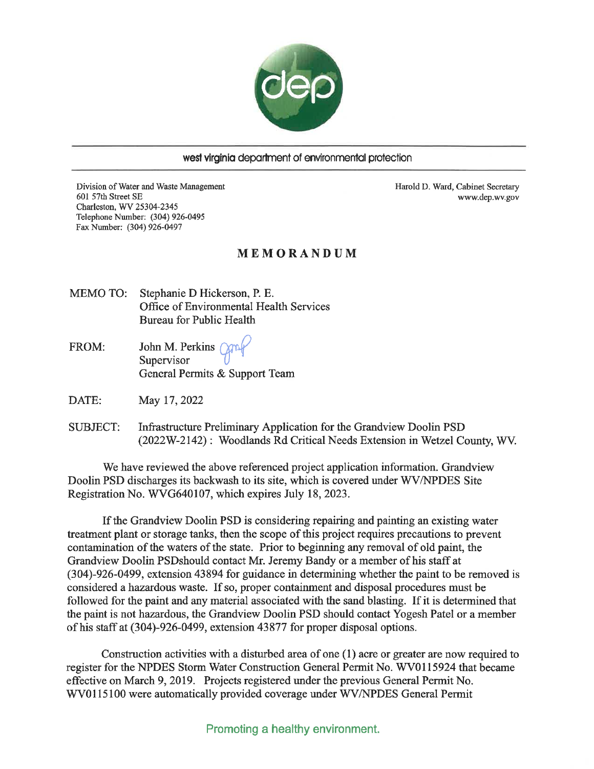

#### west virginia department of environmental protection

Division of Water and Waste Management 601 57th Street SE Charleston, WV 25304-2345 Telephone Number: (304) 926-0495 Fax Number: (304) 926-0497

Harold D. Ward, Cabinet Secretary www.dep.wv.gov

#### MEMORANDUM

**MEMO TO:** Stephanie D Hickerson, P. E. Office of Environmental Health Services **Bureau for Public Health** 

John M. Perkins (200 FROM: Supervisor General Permits & Support Team

DATE: May 17, 2022

**SUBJECT:** Infrastructure Preliminary Application for the Grandview Doolin PSD (2022W-2142): Woodlands Rd Critical Needs Extension in Wetzel County, WV.

We have reviewed the above referenced project application information. Grandview Doolin PSD discharges its backwash to its site, which is covered under WV/NPDES Site Registration No. WVG640107, which expires July 18, 2023.

If the Grandview Doolin PSD is considering repairing and painting an existing water treatment plant or storage tanks, then the scope of this project requires precautions to prevent contamination of the waters of the state. Prior to beginning any removal of old paint, the Grandview Doolin PSDshould contact Mr. Jeremy Bandy or a member of his staff at (304)-926-0499, extension 43894 for guidance in determining whether the paint to be removed is considered a hazardous waste. If so, proper containment and disposal procedures must be followed for the paint and any material associated with the sand blasting. If it is determined that the paint is not hazardous, the Grandview Doolin PSD should contact Yogesh Patel or a member of his staff at (304)-926-0499, extension 43877 for proper disposal options.

Construction activities with a disturbed area of one (1) acre or greater are now required to register for the NPDES Storm Water Construction General Permit No. WV0115924 that became effective on March 9, 2019. Projects registered under the previous General Permit No. WV0115100 were automatically provided coverage under WV/NPDES General Permit

Promoting a healthy environment.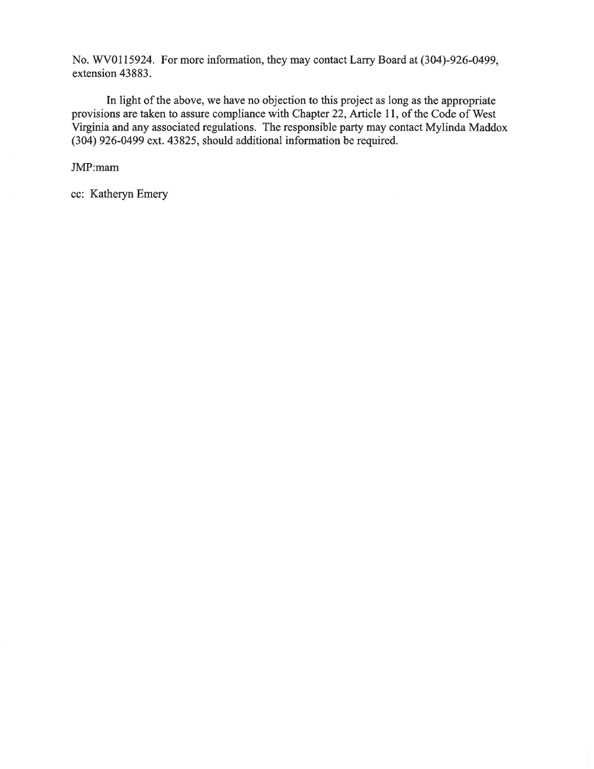No. WV0115924. For more information, they may contact Larry Board at (304)-926-0499, extension 43883.

In light of the above, we have no objection to this project as long as the appropriate provisions are taken to assure compliance with Chapter 22, Article 11, of the Code of West Virginia and any associated regulations. The responsible party may contact Mylinda Maddox (304) 926-0499 ext. 43825, should additional information be required.

JMP:mam

cc: Katheryn Emery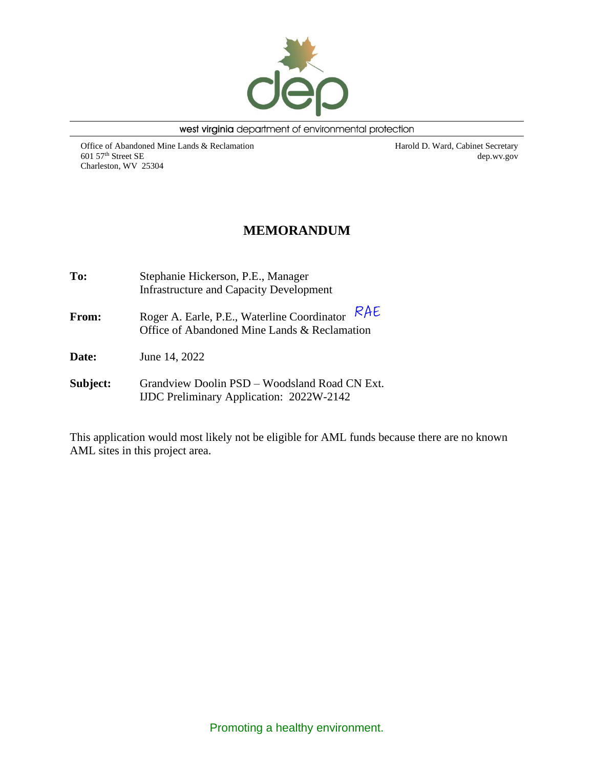

west virginia department of environmental protection

Office of Abandoned Mine Lands & Reclamation 601 57th Street SE Charleston, WV 25304

Harold D. Ward, Cabinet Secretary dep.wv.gov

## **MEMORANDUM**

| To:          | Stephanie Hickerson, P.E., Manager<br><b>Infrastructure and Capacity Development</b>               |  |  |  |  |  |
|--------------|----------------------------------------------------------------------------------------------------|--|--|--|--|--|
| <b>From:</b> | RAE<br>Roger A. Earle, P.E., Waterline Coordinator<br>Office of Abandoned Mine Lands & Reclamation |  |  |  |  |  |
| <b>Date:</b> | June 14, 2022                                                                                      |  |  |  |  |  |
| Subject:     | Grandview Doolin PSD - Woodsland Road CN Ext.<br><b>IJDC</b> Preliminary Application: 2022W-2142   |  |  |  |  |  |

This application would most likely not be eligible for AML funds because there are no known AML sites in this project area.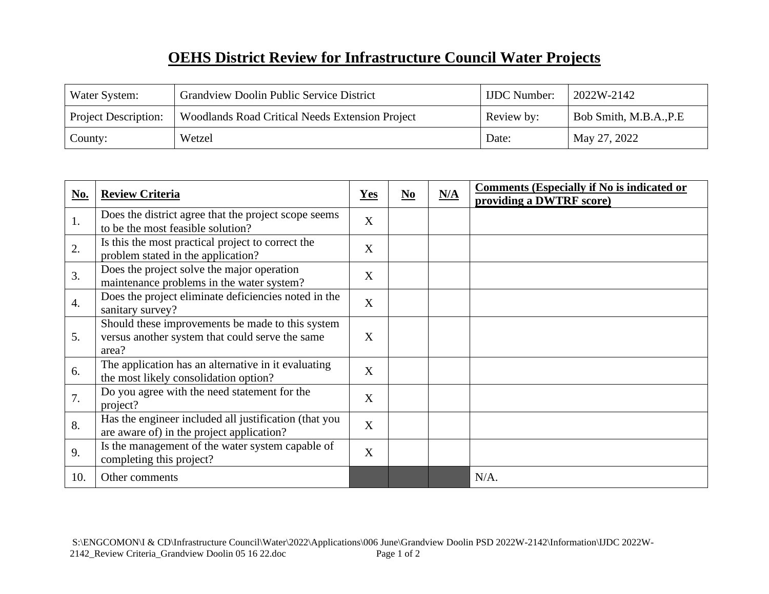# **OEHS District Review for Infrastructure Council Water Projects**

| Water System:               | <b>Grandview Doolin Public Service District</b>        | <b>IJDC</b> Number: | 2022W-2142              |
|-----------------------------|--------------------------------------------------------|---------------------|-------------------------|
| <b>Project Description:</b> | <b>Woodlands Road Critical Needs Extension Project</b> | Review by:          | Bob Smith, M.B.A., P.E. |
| County:                     | Wetzel                                                 | Date:               | May 27, 2022            |

| No.              | <b>Review Criteria</b>                                                                                       | <b>Yes</b>     | $No$ | N/A | <b>Comments (Especially if No is indicated or</b><br>providing a DWTRF score) |
|------------------|--------------------------------------------------------------------------------------------------------------|----------------|------|-----|-------------------------------------------------------------------------------|
| 1.               | Does the district agree that the project scope seems<br>to be the most feasible solution?                    | X              |      |     |                                                                               |
| 2.               | Is this the most practical project to correct the<br>problem stated in the application?                      | X              |      |     |                                                                               |
| 3.               | Does the project solve the major operation<br>maintenance problems in the water system?                      | $\overline{X}$ |      |     |                                                                               |
| $\overline{4}$ . | Does the project eliminate deficiencies noted in the<br>sanitary survey?                                     | X              |      |     |                                                                               |
| 5.               | Should these improvements be made to this system<br>versus another system that could serve the same<br>area? | $\overline{X}$ |      |     |                                                                               |
| 6.               | The application has an alternative in it evaluating<br>the most likely consolidation option?                 | $\overline{X}$ |      |     |                                                                               |
| 7.               | Do you agree with the need statement for the<br>project?                                                     | $\overline{X}$ |      |     |                                                                               |
| 8.               | Has the engineer included all justification (that you<br>are aware of) in the project application?           | X              |      |     |                                                                               |
| 9.               | Is the management of the water system capable of<br>completing this project?                                 | X              |      |     |                                                                               |
| 10.              | Other comments                                                                                               |                |      |     | $N/A$ .                                                                       |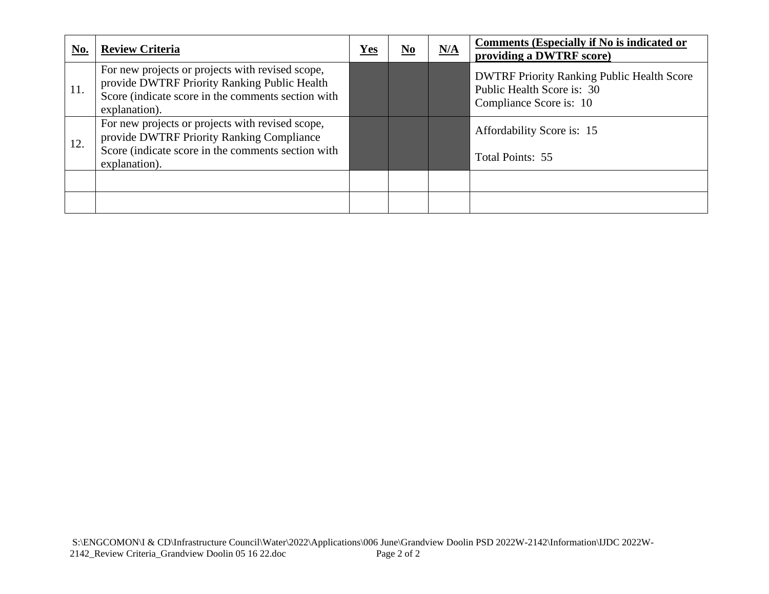| <u>No.</u> | <b>Review Criteria</b>                                                                                                                                                  | ${\bf Yes}$ | $\underline{\mathbf{N}\mathbf{0}}$ | N/A | <b>Comments (Especially if No is indicated or</b><br>providing a DWTRF score)                              |
|------------|-------------------------------------------------------------------------------------------------------------------------------------------------------------------------|-------------|------------------------------------|-----|------------------------------------------------------------------------------------------------------------|
| 11.        | For new projects or projects with revised scope,<br>provide DWTRF Priority Ranking Public Health<br>Score (indicate score in the comments section with<br>explanation). |             |                                    |     | <b>DWTRF Priority Ranking Public Health Score</b><br>Public Health Score is: 30<br>Compliance Score is: 10 |
| 12.        | For new projects or projects with revised scope,<br>provide DWTRF Priority Ranking Compliance<br>Score (indicate score in the comments section with<br>explanation).    |             |                                    |     | Affordability Score is: 15<br>Total Points: 55                                                             |
|            |                                                                                                                                                                         |             |                                    |     |                                                                                                            |
|            |                                                                                                                                                                         |             |                                    |     |                                                                                                            |